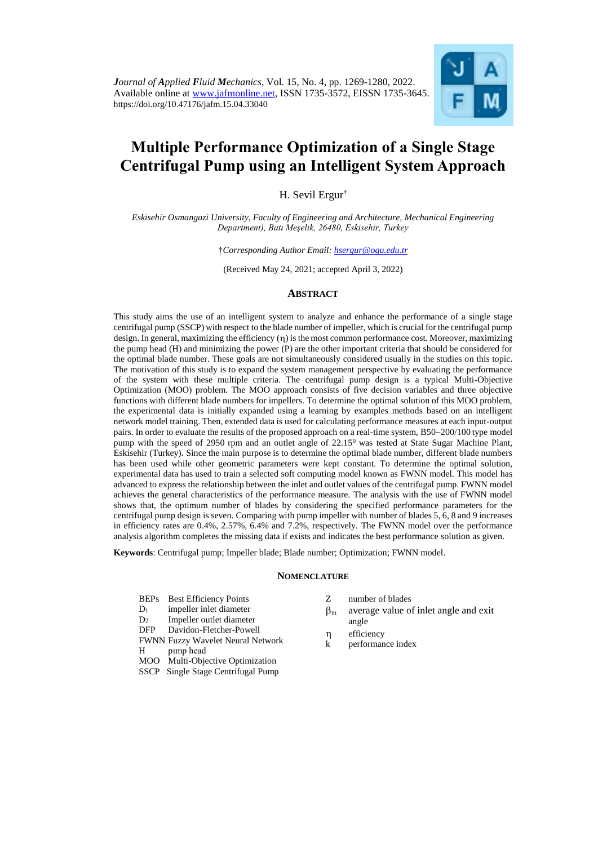

# **Multiple Performance Optimization of a Single Stage Centrifugal Pump using an Intelligent System Approach**

H. Sevil Ergur†

*Eskisehir Osmangazi University, Faculty of Engineering and Architecture, Mechanical Engineering Department), Batı Meşelik, 26480, Eskisehir, Turkey*

†*Corresponding Author Email: hsergur@ogu.edu.tr*

(Received May 24, 2021; accepted April 3, 2022)

# **ABSTRACT**

This study aims the use of an intelligent system to analyze and enhance the performance of a single stage centrifugal pump (SSCP) with respect to the blade number of impeller, which is crucial for the centrifugal pump design. In general, maximizing the efficiency  $(n)$  is the most common performance cost. Moreover, maximizing the pump head (H) and minimizing the power (P) are the other important criteria that should be considered for the optimal blade number. These goals are not simultaneously considered usually in the studies on this topic. The motivation of this study is to expand the system management perspective by evaluating the performance of the system with these multiple criteria. The centrifugal pump design is a typical Multi-Objective Optimization (MOO) problem. The MOO approach consists of five decision variables and three objective functions with different blade numbers for impellers. To determine the optimal solution of this MOO problem, the experimental data is initially expanded using a learning by examples methods based on an intelligent network model training. Then, extended data is used for calculating performance measures at each input-output pairs. In order to evaluate the results of the proposed approach on a real-time system, B50-200/100 type model pump with the speed of 2950 rpm and an outlet angle of 22.15<sup>0</sup> was tested at State Sugar Machine Plant, Eskisehir (Turkey). Since the main purpose is to determine the optimal blade number, different blade numbers has been used while other geometric parameters were kept constant. To determine the optimal solution, experimental data has used to train a selected soft computing model known as FWNN model. This model has advanced to express the relationship between the inlet and outlet values of the centrifugal pump. FWNN model achieves the general characteristics of the performance measure. The analysis with the use of FWNN model shows that, the optimum number of blades by considering the specified performance parameters for the centrifugal pump design is seven. Comparing with pump impeller with number of blades 5, 6, 8 and 9 increases in efficiency rates are 0.4%, 2.57%, 6.4% and 7.2%, respectively. The FWNN model over the performance analysis algorithm completes the missing data if exists and indicates the best performance solution as given.

**Keywords**: Centrifugal pump; Impeller blade; Blade number; Optimization; FWNN model.

# **NOMENCLATURE**

- BEPs Best Efficiency Points
- D<sup>1</sup> impeller inlet diameter
- D<sup>2</sup> Impeller outlet diameter
- DFP Davidon-Fletcher-Powell
- FWNN Fuzzy Wavelet Neural Network
- H pımp head
- MOO Multi-Objective Optimization
- SSCP Single Stage Centrifugal Pump
- Z number of blades
- $\beta_m$  average value of inlet angle and exit angle
- efficiency
- k performance index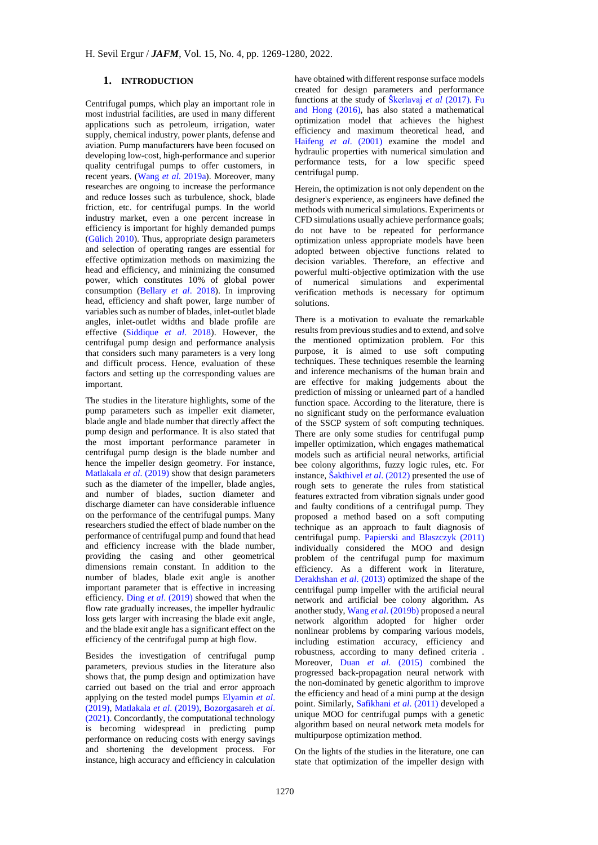# **1. INTRODUCTION**

Centrifugal pumps, which play an important role in most industrial facilities, are used in many different applications such as petroleum, irrigation, water supply, chemical industry, power plants, defense and aviation. Pump manufacturers have been focused on developing low-cost, high-performance and superior quality centrifugal pumps to offer customers, in recent years. [\(Wang](#page-11-0) *et al.* 2019a). Moreover, many researches are ongoing to increase the performance and reduce losses such as turbulence, shock, blade friction, etc. for centrifugal pumps. In the world industry market, even a one percent increase in efficiency is important for highly demanded pumps [\(Gülich 2010\)](#page-10-0). Thus, appropriate design parameters and selection of operating ranges are essential for effective optimization methods on maximizing the head and efficiency, and minimizing the consumed power, which constitutes 10% of global power consumption [\(Bellary](#page-10-1) *et al*. 2018). In improving head, efficiency and shaft power, large number of variables such as number of blades, inlet-outlet blade angles, inlet-outlet widths and blade profile are effective [\(Siddique](#page-11-1) *et al*. 2018). However, the centrifugal pump design and performance analysis that considers such many parameters is a very long and difficult process. Hence, evaluation of these factors and setting up the corresponding values are important.

The studies in the literature highlights, some of the pump parameters such as impeller exit diameter, blade angle and blade number that directly affect the pump design and performance. It is also stated that the most important performance parameter in centrifugal pump design is the blade number and hence the impeller design geometry. For instance, [Matlakala](#page-11-2) *et al*. (2019) show that design parameters such as the diameter of the impeller, blade angles, and number of blades, suction diameter and discharge diameter can have considerable influence on the performance of the centrifugal pumps. Many researchers studied the effect of blade number on the performance of centrifugal pump and found that head and efficiency increase with the blade number, providing the casing and other geometrical dimensions remain constant. In addition to the number of blades, blade exit angle is another important parameter that is effective in increasing efficiency. Ding *et al*[. \(2019\)](#page-10-2) showed that when the flow rate gradually increases, the impeller hydraulic loss gets larger with increasing the blade exit angle, and the blade exit angle has a significant effect on the efficiency of the centrifugal pump at high flow.

Besides the investigation of centrifugal pump parameters, previous studies in the literature also shows that, the pump design and optimization have carried out based on the trial and error approach applying on the tested model pumps [Elyamin](#page-10-3) *et al*. [\(2019\),](#page-10-3) [Matlakala](#page-11-2) *et al*. (2019), [Bozorgasareh](#page-10-1) *et al*. [\(2021\).](#page-10-1) Concordantly, the computational technology is becoming widespread in predicting pump performance on reducing costs with energy savings and shortening the development process. For instance, high accuracy and efficiency in calculation

have obtained with different response surface models created for design parameters and performance functions at the study of [Škerlavaj](#page-11-3) *et al* (2017). [Fu](#page-10-4)  [and Hong \(2016\),](#page-10-4) has also stated a mathematical optimization model that achieves the highest efficiency and maximum theoretical head, and Haifeng *et al*[. \(2001\)](#page-10-5) examine the model and hydraulic properties with numerical simulation and performance tests, for a low specific speed centrifugal pump.

Herein, the optimization is not only dependent on the designer's experience, as engineers have defined the methods with numerical simulations. Experiments or CFD simulations usually achieve performance goals; do not have to be repeated for performance optimization unless appropriate models have been adopted between objective functions related to decision variables. Therefore, an effective and powerful multi-objective optimization with the use of numerical simulations and experimental verification methods is necessary for optimum solutions.

There is a motivation to evaluate the remarkable results from previous studies and to extend, and solve the mentioned optimization problem. For this purpose, it is aimed to use soft computing techniques. These techniques resemble the learning and inference mechanisms of the human brain and are effective for making judgements about the prediction of missing or unlearned part of a handled function space. According to the literature, there is no significant study on the performance evaluation of the SSCP system of soft computing techniques. There are only some studies for centrifugal pump impeller optimization, which engages mathematical models such as artificial neural networks, artificial bee colony algorithms, fuzzy logic rules, etc. For instance[, Šakthivel](#page-11-4) *et al*. (2012) presented the use of rough sets to generate the rules from statistical features extracted from vibration signals under good and faulty conditions of a centrifugal pump. They proposed a method based on a soft computing technique as an approach to fault diagnosis of centrifugal pump. [Papierski and Blaszczyk \(2011\)](#page-11-5) individually considered the MOO and design problem of the centrifugal pump for maximum efficiency. As a different work in literature, [Derakhshan](#page-10-6) *et al*. (2013) optimized the shape of the centrifugal pump impeller with the artificial neural network and artificial bee colony algorithm. As another study, Wang *et al*[. \(2019b\)](#page-11-6) proposed a neural network algorithm adopted for higher order nonlinear problems by comparing various models, including estimation accuracy, efficiency and robustness, according to many defined criteria . Moreover, Duan *et al*[. \(2015\)](#page-10-7) combined the progressed back-propagation neural network with the non-dominated by genetic algorithm to improve the efficiency and head of a mini pump at the design point. Similarly[, Safikhani](#page-11-7) *et al*. (2011) developed a unique MOO for centrifugal pumps with a genetic algorithm based on neural network meta models for multipurpose optimization method.

On the lights of the studies in the literature, one can state that optimization of the impeller design with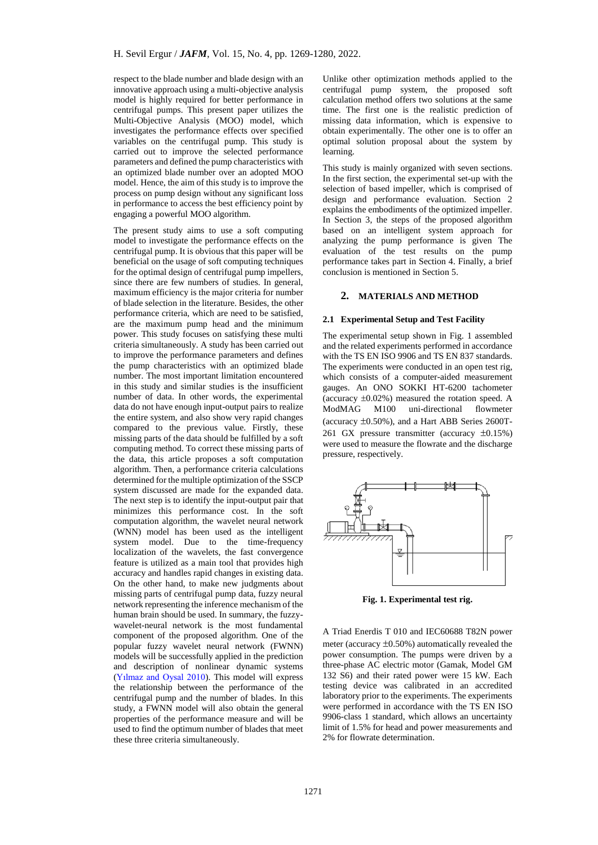respect to the blade number and blade design with an innovative approach using a multi-objective analysis model is highly required for better performance in centrifugal pumps. This present paper utilizes the Multi-Objective Analysis (MOO) model, which investigates the performance effects over specified variables on the centrifugal pump. This study is carried out to improve the selected performance parameters and defined the pump characteristics with an optimized blade number over an adopted MOO model. Hence, the aim of this study is to improve the process on pump design without any significant loss in performance to access the best efficiency point by engaging a powerful MOO algorithm.

The present study aims to use a soft computing model to investigate the performance effects on the centrifugal pump. It is obvious that this paper will be beneficial on the usage of soft computing techniques for the optimal design of centrifugal pump impellers, since there are few numbers of studies. In general, maximum efficiency is the major criteria for number of blade selection in the literature. Besides, the other performance criteria, which are need to be satisfied, are the maximum pump head and the minimum power. This study focuses on satisfying these multi criteria simultaneously. A study has been carried out to improve the performance parameters and defines the pump characteristics with an optimized blade number. The most important limitation encountered in this study and similar studies is the insufficient number of data. In other words, the experimental data do not have enough input-output pairs to realize the entire system, and also show very rapid changes compared to the previous value. Firstly, these missing parts of the data should be fulfilled by a soft computing method. To correct these missing parts of the data, this article proposes a soft computation algorithm. Then, a performance criteria calculations determined for the multiple optimization of the SSCP system discussed are made for the expanded data. The next step is to identify the input-output pair that minimizes this performance cost. In the soft computation algorithm, the wavelet neural network (WNN) model has been used as the intelligent system model. Due to the time-frequency localization of the wavelets, the fast convergence feature is utilized as a main tool that provides high accuracy and handles rapid changes in existing data. On the other hand, to make new judgments about missing parts of centrifugal pump data, fuzzy neural network representing the inference mechanism of the human brain should be used. In summary, the fuzzywavelet-neural network is the most fundamental component of the proposed algorithm. One of the popular fuzzy wavelet neural network (FWNN) models will be successfully applied in the prediction and description of nonlinear dynamic systems [\(Yılmaz and Oysal 2010\)](#page-11-8). This model will express the relationship between the performance of the centrifugal pump and the number of blades. In this study, a FWNN model will also obtain the general properties of the performance measure and will be used to find the optimum number of blades that meet these three criteria simultaneously.

Unlike other optimization methods applied to the centrifugal pump system, the proposed soft calculation method offers two solutions at the same time. The first one is the realistic prediction of missing data information, which is expensive to obtain experimentally. The other one is to offer an optimal solution proposal about the system by learning.

This study is mainly organized with seven sections. In the first section, the experimental set-up with the selection of based impeller, which is comprised of design and performance evaluation. Section 2 explains the embodiments of the optimized impeller. In Section 3, the steps of the proposed algorithm based on an intelligent system approach for analyzing the pump performance is given The evaluation of the test results on the pump performance takes part in Section 4. Finally, a brief conclusion is mentioned in Section 5.

# **2. MATERIALS AND METHOD**

#### **2.1 Experimental Setup and Test Facility**

The experimental setup shown in Fig. 1 assembled and the related experiments performed in accordance with the TS EN ISO 9906 and TS EN 837 standards. The experiments were conducted in an open test rig, which consists of a computer-aided measurement gauges. An ONO SOKKI HT-6200 tachometer (accuracy  $\pm 0.02\%$ ) measured the rotation speed. A ModMAG M100 uni-directional flowmeter (accuracy  $\pm 0.50\%$ ), and a Hart ABB Series 2600T-261 GX pressure transmitter (accuracy  $\pm 0.15\%$ ) were used to measure the flowrate and the discharge pressure, respectively.



**Fig. 1. Experimental test rig.**

A Triad Enerdis T 010 and IEC60688 T82N power meter (accuracy  $\pm 0.50\%$ ) automatically revealed the power consumption. The pumps were driven by a three-phase AC electric motor (Gamak, Model GM 132 S6) and their rated power were 15 kW. Each testing device was calibrated in an accredited laboratory prior to the experiments. The experiments were performed in accordance with the TS EN ISO 9906-class 1 standard, which allows an uncertainty limit of 1.5% for head and power measurements and 2% for flowrate determination.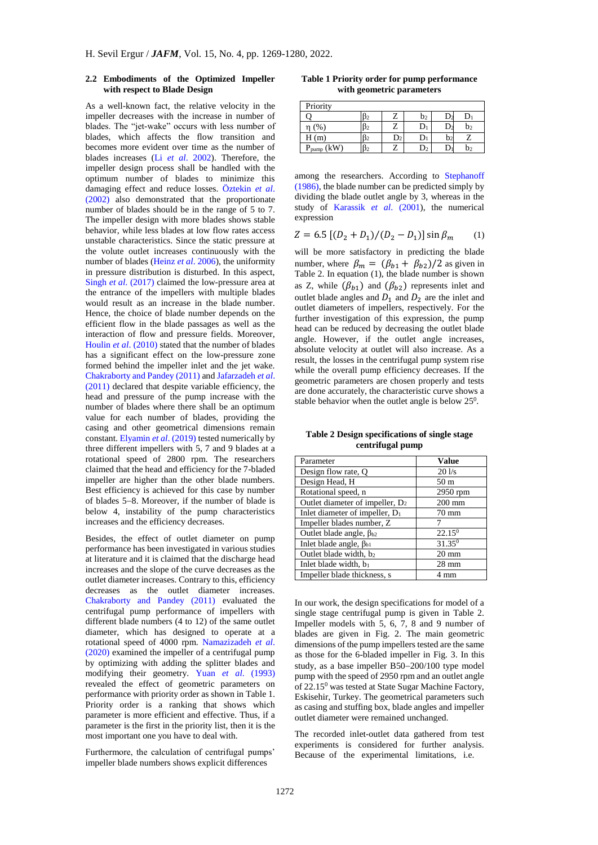#### **2.2 Embodiments of the Optimized Impeller with respect to Blade Design**

As a well-known fact, the relative velocity in the impeller decreases with the increase in number of blades. The "jet-wake" occurs with less number of blades, which affects the flow transition and becomes more evident over time as the number of blades increases (Li *et al*[. 2002\)](#page-11-9). Therefore, the impeller design process shall be handled with the optimum number of blades to minimize this damaging effect and reduce losses. [Öztekin](#page-11-10) *et al*. [\(2002\)](#page-11-10) also demonstrated that the proportionate number of blades should be in the range of 5 to 7. The impeller design with more blades shows stable behavior, while less blades at low flow rates access unstable characteristics. Since the static pressure at the volute outlet increases continuously with the number of blades [\(Heinz](#page-10-8) *et al*. 2006), the uniformity in pressure distribution is disturbed. In this aspect, Singh *et al*[. \(2017\)](#page-11-11) claimed the low-pressure area at the entrance of the impellers with multiple blades would result as an increase in the blade number. Hence, the choice of blade number depends on the efficient flow in the blade passages as well as the interaction of flow and pressure fields. Moreover, Houlin *et al*[. \(2010\)](#page-10-9) stated that the number of blades has a significant effect on the low-pressure zone formed behind the impeller inlet and the jet wake. [Chakraborty and Pandey \(2011\)](#page-10-10) an[d Jafarzadeh](#page-10-11) *et al*. [\(2011\)](#page-10-11) declared that despite variable efficiency, the head and pressure of the pump increase with the number of blades where there shall be an optimum value for each number of blades, providing the casing and other geometrical dimensions remain constant[. Elyamin](#page-10-3) *et al*. (2019) tested numerically by three different impellers with 5, 7 and 9 blades at a rotational speed of 2800 rpm. The researchers claimed that the head and efficiency for the 7-bladed impeller are higher than the other blade numbers. Best efficiency is achieved for this case by number of blades 5-8. Moreover, if the number of blade is below 4, instability of the pump characteristics increases and the efficiency decreases.

Besides, the effect of outlet diameter on pump performance has been investigated in various studies at literature and it is claimed that the discharge head increases and the slope of the curve decreases as the outlet diameter increases. Contrary to this, efficiency decreases as the outlet diameter increases. [Chakraborty and Pandey \(2011\)](#page-10-10) evaluated the centrifugal pump performance of impellers with different blade numbers (4 to 12) of the same outlet diameter, which has designed to operate at a rotational speed of 4000 rpm. [Namazizadeh](#page-11-12) *et al*. [\(2020\)](#page-11-12) examined the impeller of a centrifugal pump by optimizing with adding the splitter blades and modifying their geometry. Yuan *et al*[. \(1993\)](#page-11-13) revealed the effect of geometric parameters on performance with priority order as shown in Table 1. Priority order is a ranking that shows which parameter is more efficient and effective. Thus, if a parameter is the first in the priority list, then it is the most important one you have to deal with.

Furthermore, the calculation of centrifugal pumps' impeller blade numbers shows explicit differences

**Table 1 Priority order for pump performance with geometric parameters**

| Priority         |               |                |                |  |    |  |
|------------------|---------------|----------------|----------------|--|----|--|
|                  |               | ∠              | b <sub>2</sub> |  |    |  |
| $\%$             | <sub>12</sub> | L              | $\rm D_{1}$    |  | b2 |  |
| H(m)             |               | D <sub>2</sub> | $\mathbf{D}$   |  |    |  |
| ƙW<br>P.<br>pump |               |                | D2             |  | D2 |  |

among the researchers. According to [Stephanoff](#page-11-14)  [\(1986\),](#page-11-14) the blade number can be predicted simply by dividing the blade outlet angle by 3, whereas in the study of [Karassik](#page-10-12) *et al*. (2001), the numerical expression

$$
Z = 6.5 [(D_2 + D_1)/(D_2 - D_1)] \sin \beta_m \qquad (1)
$$

will be more satisfactory in predicting the blade number, where  $\beta_m = (\beta_{b1} + \beta_{b2})/2$  as given in Table 2. In equation (1), the blade number is shown as Z, while  $(\beta_{b1})$  and  $(\beta_{b2})$  represents inlet and outlet blade angles and  $D_1$  and  $D_2$  are the inlet and outlet diameters of impellers, respectively. For the further investigation of this expression, the pump head can be reduced by decreasing the outlet blade angle. However, if the outlet angle increases, absolute velocity at outlet will also increase. As a result, the losses in the centrifugal pump system rise while the overall pump efficiency decreases. If the geometric parameters are chosen properly and tests are done accurately, the characteristic curve shows a stable behavior when the outlet angle is below  $25^0$ .

**Table 2 Design specifications of single stage centrifugal pump**

| Parameter                                   | Value             |
|---------------------------------------------|-------------------|
| Design flow rate, Q                         | 20 <sub>1/s</sub> |
| Design Head, H                              | 50 <sub>m</sub>   |
| Rotational speed, n                         | 2950 rpm          |
| Outlet diameter of impeller, D <sub>2</sub> | $200$ mm          |
| Inlet diameter of impeller, $D_1$           | $70 \text{ mm}$   |
| Impeller blades number, Z                   |                   |
| Outlet blade angle, $\beta_{b2}$            | $22.15^{0}$       |
| Inlet blade angle, $\beta_{b1}$             | $31.35^{0}$       |
| Outlet blade width, b2                      | $20 \text{ mm}$   |
| Inlet blade width, $b_1$                    | $28 \text{ mm}$   |
| Impeller blade thickness, s                 | mm .              |

In our work, the design specifications for model of a single stage centrifugal pump is given in Table 2. Impeller models with 5, 6, 7, 8 and 9 number of blades are given in Fig. 2. The main geometric dimensions of the pump impellers tested are the same as those for the 6-bladed impeller in Fig. 3. In this study, as a base impeller  $B50-200/100$  type model pump with the speed of 2950 rpm and an outlet angle of 22.15<sup>0</sup> was tested at State Sugar Machine Factory, Eskisehir, Turkey. The geometrical parameters such as casing and stuffing box, blade angles and impeller outlet diameter were remained unchanged.

The recorded inlet-outlet data gathered from test experiments is considered for further analysis. Because of the experimental limitations, i.e.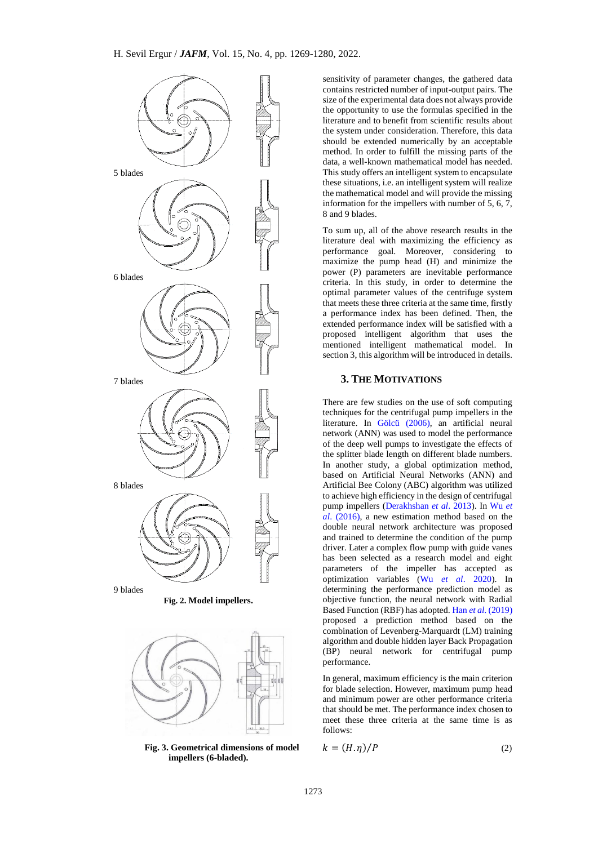



**Fig. 3. Geometrical dimensions of model impellers (6-bladed).**

sensitivity of parameter changes, the gathered data contains restricted number of input-output pairs. The size of the experimental data does not always provide the opportunity to use the formulas specified in the literature and to benefit from scientific results about the system under consideration. Therefore, this data should be extended numerically by an acceptable method. In order to fulfill the missing parts of the data, a well-known mathematical model has needed. This study offers an intelligent system to encapsulate these situations, i.e. an intelligent system will realize the mathematical model and will provide the missing information for the impellers with number of  $5, 6, 7$ , 8 and 9 blades.

To sum up, all of the above research results in the literature deal with maximizing the efficiency as performance goal. Moreover, considering to maximize the pump head (H) and minimize the power (P) parameters are inevitable performance criteria. In this study, in order to determine the optimal parameter values of the centrifuge system that meets these three criteria at the same time, firstly a performance index has been defined. Then, the extended performance index will be satisfied with a proposed intelligent algorithm that uses the mentioned intelligent mathematical model. In section 3, this algorithm will be introduced in details.

# **3. THE MOTIVATIONS**

There are few studies on the use of soft computing techniques for the centrifugal pump impellers in the literature. In [Gölcü \(2006\),](#page-10-13) an artificial neural network (ANN) was used to model the performance of the deep well pumps to investigate the effects of the splitter blade length on different blade numbers. In another study, a global optimization method, based on Artificial Neural Networks (ANN) and Artificial Bee Colony (ABC) algorithm was utilized to achieve high efficiency in the design of centrifugal pump impellers [\(Derakhshan](#page-10-6) *et al*. 2013). In [Wu](#page-11-15) *et al*[. \(2016\),](#page-11-15) a new estimation method based on the double neural network architecture was proposed and trained to determine the condition of the pump driver. Later a complex flow pump with guide vanes has been selected as a research model and eight parameters of the impeller has accepted as optimization variables (Wu *et al*[. 2020\)](#page-11-16). In determining the performance prediction model as objective function, the neural network with Radial Based Function (RBF) has adopted. Han *et al*[. \(2019\)](#page-10-14) proposed a prediction method based on the combination of Levenberg-Marquardt (LM) training algorithm and double hidden layer Back Propagation (BP) neural network for centrifugal pump performance.

In general, maximum efficiency is the main criterion for blade selection. However, maximum pump head and minimum power are other performance criteria that should be met. The performance index chosen to meet these three criteria at the same time is as follows:

$$
k = (H, \eta)/P \tag{2}
$$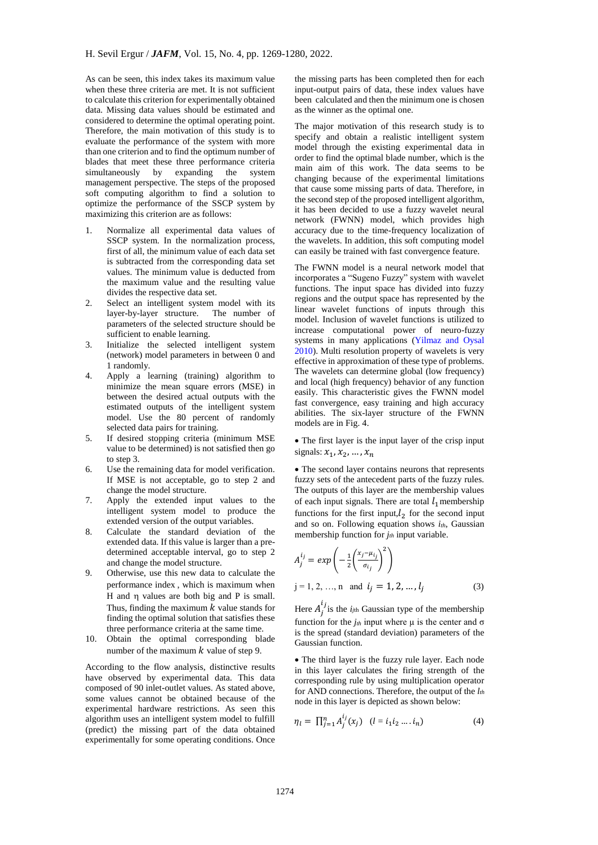As can be seen, this index takes its maximum value when these three criteria are met. It is not sufficient to calculate this criterion for experimentally obtained data. Missing data values should be estimated and considered to determine the optimal operating point. Therefore, the main motivation of this study is to evaluate the performance of the system with more than one criterion and to find the optimum number of blades that meet these three performance criteria simultaneously by expanding the system management perspective. The steps of the proposed soft computing algorithm to find a solution to optimize the performance of the SSCP system by maximizing this criterion are as follows:

- 1. Normalize all experimental data values of SSCP system. In the normalization process, first of all, the minimum value of each data set is subtracted from the corresponding data set values. The minimum value is deducted from the maximum value and the resulting value divides the respective data set.
- 2. Select an intelligent system model with its layer-by-layer structure. The number of parameters of the selected structure should be sufficient to enable learning.
- 3. Initialize the selected intelligent system (network) model parameters in between 0 and 1 randomly.
- 4. Apply a learning (training) algorithm to minimize the mean square errors (MSE) in between the desired actual outputs with the estimated outputs of the intelligent system model. Use the 80 percent of randomly selected data pairs for training.
- 5. If desired stopping criteria (minimum MSE value to be determined) is not satisfied then go to step 3.
- 6. Use the remaining data for model verification. If MSE is not acceptable, go to step 2 and change the model structure.
- 7. Apply the extended input values to the intelligent system model to produce the extended version of the output variables.
- 8. Calculate the standard deviation of the extended data. If this value is larger than a predetermined acceptable interval, go to step 2 and change the model structure.
- 9. Otherwise, use this new data to calculate the performance index , which is maximum when H and  $\eta$  values are both big and P is small. Thus, finding the maximum  $k$  value stands for finding the optimal solution that satisfies these three performance criteria at the same time.
- 10. Obtain the optimal corresponding blade number of the maximum  $k$  value of step 9.

According to the flow analysis, distinctive results have observed by experimental data. This data composed of 90 inlet-outlet values. As stated above, some values cannot be obtained because of the experimental hardware restrictions. As seen this algorithm uses an intelligent system model to fulfill (predict) the missing part of the data obtained experimentally for some operating conditions. Once

the missing parts has been completed then for each input-output pairs of data, these index values have been calculated and then the minimum one is chosen as the winner as the optimal one.

The major motivation of this research study is to specify and obtain a realistic intelligent system model through the existing experimental data in order to find the optimal blade number, which is the main aim of this work. The data seems to be changing because of the experimental limitations that cause some missing parts of data. Therefore, in the second step of the proposed intelligent algorithm, it has been decided to use a fuzzy wavelet neural network (FWNN) model, which provides high accuracy due to the time-frequency localization of the wavelets. In addition, this soft computing model can easily be trained with fast convergence feature.

The FWNN model is a neural network model that incorporates a "Sugeno Fuzzy" system with wavelet functions. The input space has divided into fuzzy regions and the output space has represented by the linear wavelet functions of inputs through this model. Inclusion of wavelet functions is utilized to increase computational power of neuro-fuzzy systems in many applications [\(Yilmaz and Oysal](#page-11-8)  [2010\)](#page-11-8). Multi resolution property of wavelets is very effective in approximation of these type of problems. The wavelets can determine global (low frequency) and local (high frequency) behavior of any function easily. This characteristic gives the FWNN model fast convergence, easy training and high accuracy abilities. The six-layer structure of the FWNN models are in Fig. 4.

 The first layer is the input layer of the crisp input signals:  $x_1, x_2, ..., x_n$ 

 The second layer contains neurons that represents fuzzy sets of the antecedent parts of the fuzzy rules. The outputs of this layer are the membership values of each input signals. There are total  $l_1$  membership functions for the first input, $l_2$  for the second input and so on. Following equation shows *ith*, Gaussian membership function for *jth* input variable.

$$
A_j^{i_j} = exp\left(-\frac{1}{2}\left(\frac{x_j - \mu_{i_j}}{\sigma_{i_j}}\right)^2\right)
$$
  
j = 1, 2, ..., n and  $i_j = 1, 2, ..., l_j$  (3)

Here  $A_j^{i_j}$  is the  $i_{jth}$  Gaussian type of the membership function for the  $j<sub>th</sub>$  input where  $\mu$  is the center and  $\sigma$ is the spread (standard deviation) parameters of the Gaussian function.

 The third layer is the fuzzy rule layer. Each node in this layer calculates the firing strength of the corresponding rule by using multiplication operator for AND connections. Therefore, the output of the *lth* node in this layer is depicted as shown below:

$$
\eta_l = \prod_{j=1}^n A_j^{i_j}(x_j) \quad (l = i_1 i_2 \dots i_n)
$$
 (4)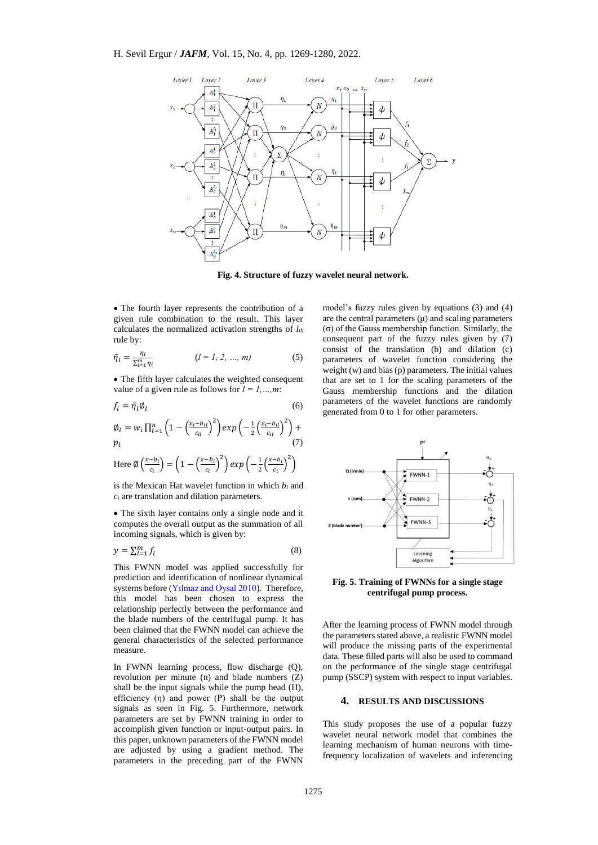

**Fig. 4. Structure of fuzzy wavelet neural network.**

 The fourth layer represents the contribution of a given rule combination to the result. This layer calculates the normalized activation strengths of *lth* rule by:

$$
\bar{\eta}_l = \frac{\eta_l}{\sum_{i=1}^m \eta_i} \qquad (l = l, 2, ..., m)
$$
 (5)

 The fifth layer calculates the weighted consequent value of a given rule as follows for  $l = 1, ..., m$ :

$$
f_l = \bar{\eta}_l \phi_l \tag{6}
$$

$$
\varnothing_l = w_i \prod_{i=1}^n \left(1 - \left(\frac{x_i - b_{il}}{c_{il}}\right)^2\right) exp\left(-\frac{1}{2}\left(\frac{x_i - b_{il}}{c_{il}}\right)^2\right) + p_l \tag{7}
$$

Here 
$$
\emptyset \left( \frac{x - b_i}{c_i} \right) = \left( 1 - \left( \frac{x - b_i}{c_i} \right)^2 \right) exp \left( - \frac{1}{2} \left( \frac{x - b_i}{c_i} \right)^2 \right)
$$

is the Mexican Hat wavelet function in which *b<sup>i</sup>* and *c<sup>i</sup>* are translation and dilation parameters.

 The sixth layer contains only a single node and it computes the overall output as the summation of all incoming signals, which is given by:

$$
y = \sum_{l=1}^{m} f_l \tag{8}
$$

This FWNN model was applied successfully for prediction and identification of nonlinear dynamical systems before [\(Yılmaz and Oysal 2010\)](#page-11-8). Therefore, this model has been chosen to express the relationship perfectly between the performance and the blade numbers of the centrifugal pump. It has been claimed that the FWNN model can achieve the general characteristics of the selected performance measure.

In FWNN learning process, flow discharge (Q), revolution per minute (n) and blade numbers (Z) shall be the input signals while the pump head (H), efficiency  $(\eta)$  and power  $(P)$  shall be the output signals as seen in Fig. 5. Furthermore, network parameters are set by FWNN training in order to accomplish given function or input-output pairs. In this paper, unknown parameters of the FWNN model are adjusted by using a gradient method. The parameters in the preceding part of the FWNN

model's fuzzy rules given by equations (3) and (4) are the central parameters  $(\mu)$  and scaling parameters (σ) of the Gauss membership function. Similarly, the consequent part of the fuzzy rules given by  $(7)$ consist of the translation (b) and dilation (c) parameters of wavelet function considering the weight (w) and bias (p) parameters. The initial values that are set to 1 for the scaling parameters of the Gauss membership functions and the dilation parameters of the wavelet functions are randomly generated from 0 to 1 for other parameters.



**Fig. 5. Training of FWNNs for a single stage centrifugal pump process.**

After the learning process of FWNN model through the parameters stated above, a realistic FWNN model will produce the missing parts of the experimental data. These filled parts will also be used to command on the performance of the single stage centrifugal pump (SSCP) system with respect to input variables.

#### **4. RESULTS AND DISCUSSIONS**

This study proposes the use of a popular fuzzy wavelet neural network model that combines the learning mechanism of human neurons with timefrequency localization of wavelets and inferencing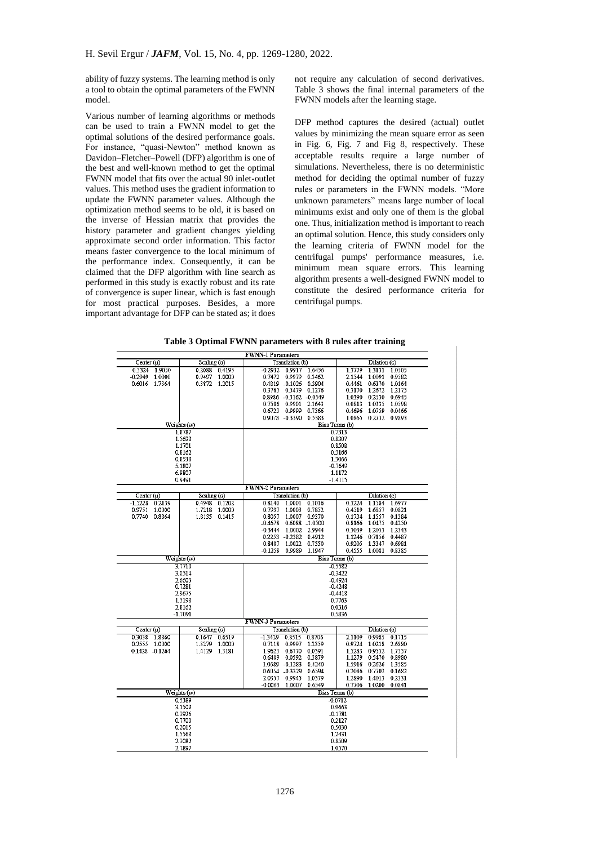ability of fuzzy systems. The learning method is only a tool to obtain the optimal parameters of the FWNN model.

Various number of learning algorithms or methods can be used to train a FWNN model to get the optimal solutions of the desired performance goals. For instance, "quasi-Newton" method known as Davidon–Fletcher–Powell (DFP) algorithm is one of the best and well-known method to get the optimal FWNN model that fits over the actual 90 inlet-outlet values. This method uses the gradient information to update the FWNN parameter values. Although the optimization method seems to be old, it is based on the inverse of Hessian matrix that provides the history parameter and gradient changes yielding approximate second order information. This factor means faster convergence to the local minimum of the performance index. Consequently, it can be claimed that the DFP algorithm with line search as performed in this study is exactly robust and its rate of convergence is super linear, which is fast enough for most practical purposes. Besides, a more important advantage for DFP can be stated as; it does

not require any calculation of second derivatives. Table 3 shows the final internal parameters of the FWNN models after the learning stage.

DFP method captures the desired (actual) outlet values by minimizing the mean square error as seen in Fig. 6, Fig. 7 and Fig 8, respectively. These acceptable results require a large number of simulations. Nevertheless, there is no deterministic method for deciding the optimal number of fuzzy rules or parameters in the FWNN models. "More unknown parameters" means large number of local minimums exist and only one of them is the global one. Thus, initialization method is important to reach an optimal solution. Hence, this study considers only the learning criteria of FWNN model for the centrifugal pumps' performance measures, i.e. minimum mean square errors. This learning algorithm presents a well-designed FWNN model to constitute the desired performance criteria for centrifugal pumps.

|  |  |  | Table 3 Optimal FWNN parameters with 8 rules after training |
|--|--|--|-------------------------------------------------------------|
|--|--|--|-------------------------------------------------------------|

|                     |                  | <b>FWNN-1 Parameters</b>                    |                            |  |  |  |  |
|---------------------|------------------|---------------------------------------------|----------------------------|--|--|--|--|
| Center $(u)$        | Scaling (o)      | Translation (b)                             | Dilation (c)               |  |  |  |  |
| 0.3324 1.9050       | 0.2088<br>0.4195 | $-0.2932$ 0.9917<br>1.6456                  | 1.3779<br>1.3131 1.0505    |  |  |  |  |
| $-0.2949$ 1.0000    | 0.9497<br>1.0000 | 0.7472 0.9979 0.3462                        | 2.1544<br>1.0091 0.9582    |  |  |  |  |
| 0.6016 1.7364       | 0.3872 1.2015    | 0.4819 -0.1026<br>0.3904                    | 0.6370 1.0164<br>0.4461    |  |  |  |  |
|                     |                  | 0.3765 0.5479 0.1276                        | 0.3170<br>1.2672 1.2175    |  |  |  |  |
|                     |                  | 0.8986 -0.3162 -0.0549                      | 1.0390 0.2530 0.6945       |  |  |  |  |
|                     |                  | 0.7506 0.9901 2.1643                        | 0.0813<br>1.0335 1.0598    |  |  |  |  |
|                     |                  | 0.6723 0.9999 0.7366                        | 0.4696<br>1.0759 0.0466    |  |  |  |  |
|                     |                  | 0.9078 -0.3390 0.5383                       | 1.0865 0.2732 0.9893       |  |  |  |  |
|                     | Weights (w)      |                                             | Bias Terms (b)             |  |  |  |  |
|                     | 1.8787           |                                             | 0.7313                     |  |  |  |  |
|                     | 1.5698           |                                             | 0.8307                     |  |  |  |  |
|                     | 1.1701           |                                             | 0.8508                     |  |  |  |  |
|                     | 0.8162           |                                             | 0.5166                     |  |  |  |  |
|                     | 0.8538           |                                             | 1.3066                     |  |  |  |  |
|                     | 5.1807           |                                             | $-0.7649$                  |  |  |  |  |
|                     | 6.9807           |                                             | 1.1172                     |  |  |  |  |
|                     | 0.9491           |                                             | $-1.4115$                  |  |  |  |  |
| Center $(u)$        | Scaling (o)      | <b>FWNN-2 Parameters</b><br>Translation (b) | Dilation (c)               |  |  |  |  |
| $-1.5228$<br>0.2139 | 0.1202<br>0.4948 | 0.8140<br>1.0001<br>0.1016                  | 1.1584<br>0.3224<br>1.6977 |  |  |  |  |
| 0.9751<br>1.0000    | 1.0000<br>1.7218 | 0.7937<br>1.0003 0.7852                     | 1.6857 0.0821<br>0.4519    |  |  |  |  |
| 0.7740 0.8864       | 1.8135 0.1415    | 1.0007 0.9370<br>0.8057                     | 0.1734 1.1557 0.1384       |  |  |  |  |
|                     |                  | -0.4678 0.6088 -1.0500                      | 0.8166 1.0475 0.4250       |  |  |  |  |
|                     |                  | -0.3444 1.0002 2.9944                       | 0.3039 1.2053 1.2343       |  |  |  |  |
|                     |                  | 0.2253 -0.2382<br>0.4912                    | 1.1246<br>0.7156 0.4487    |  |  |  |  |
|                     |                  | 0.8407 1.0022<br>0.7550                     | 0.9205<br>1.3347 0.6981    |  |  |  |  |
|                     |                  | $-0.1259$<br>0.9989<br>1.1947               | 0.4555<br>1.0081<br>0.8385 |  |  |  |  |
|                     | Weights (w)      |                                             | Bias Terms (b)             |  |  |  |  |
|                     | 3.7710           |                                             | $-0.5582$                  |  |  |  |  |
|                     | 3.0514           | $-0.3422$                                   |                            |  |  |  |  |
|                     | 2.6603           | $-0.4924$                                   |                            |  |  |  |  |
|                     | 0.7281           | $-0.4248$                                   |                            |  |  |  |  |
|                     | 2.9675           |                                             | $-0.4418$                  |  |  |  |  |
|                     | 1.5198           | 0.7763                                      |                            |  |  |  |  |
|                     | 2.8162           | 0.0316                                      |                            |  |  |  |  |
|                     | $-1.7091$        |                                             | 0.5836                     |  |  |  |  |
|                     |                  | <b>FWNN-3 Parameters</b>                    |                            |  |  |  |  |
| Center $(u)$        | Scaling(σ)       | Translation (b)                             | Dilation (c)               |  |  |  |  |
| 0.3038 1.8860       | 0.6519<br>0.1647 | $-1.3429$<br>0.8515<br>0.8706               | 2.1109<br>0.9985<br>0.1715 |  |  |  |  |
| 0.2555 1.0000       | 1,0000<br>1.3279 | 0.7118<br>0.9997<br>1.2359                  | 0.9724<br>1.0218 2.6880    |  |  |  |  |
| $0.1428 - 0.1264$   | 1.4129 1.3181    | 1.9623<br>0.6770 0.0591                     | 1.5283<br>0.9552 1.7557    |  |  |  |  |
|                     |                  | 0.6409 0.0592<br>0.3879                     | 1.1279<br>0.5470 0.8980    |  |  |  |  |
|                     |                  | 1.0689 -0.1283<br>0.4240                    | 1.5916 0.2626 1.3585       |  |  |  |  |
|                     |                  | 0.6054 -0.3329<br>0.6594                    | 0.2086<br>0.7702 0.1682    |  |  |  |  |
|                     |                  | 2.0357 0.9945<br>1.0579                     | 1.2890<br>1.4013 0.2331    |  |  |  |  |
|                     |                  | 1.0007<br>0.6549<br>$-0.0063$               | 1.0200<br>0.7706<br>0.0841 |  |  |  |  |
|                     | Weights (w)      |                                             | Bias Terms (b)             |  |  |  |  |
| 0.5389<br>3.1509    |                  | $-0.0712$<br>0.9663                         |                            |  |  |  |  |
| 0.3926              |                  | $-0.1781$                                   |                            |  |  |  |  |
| 0.7700              |                  | 0.2127                                      |                            |  |  |  |  |
|                     | 0.2015           | 0.5030                                      |                            |  |  |  |  |
|                     | 1.5568           | 1.2431                                      |                            |  |  |  |  |
|                     | 2.3082           | 0.8509                                      |                            |  |  |  |  |
|                     | 2.7897           | 1.0570                                      |                            |  |  |  |  |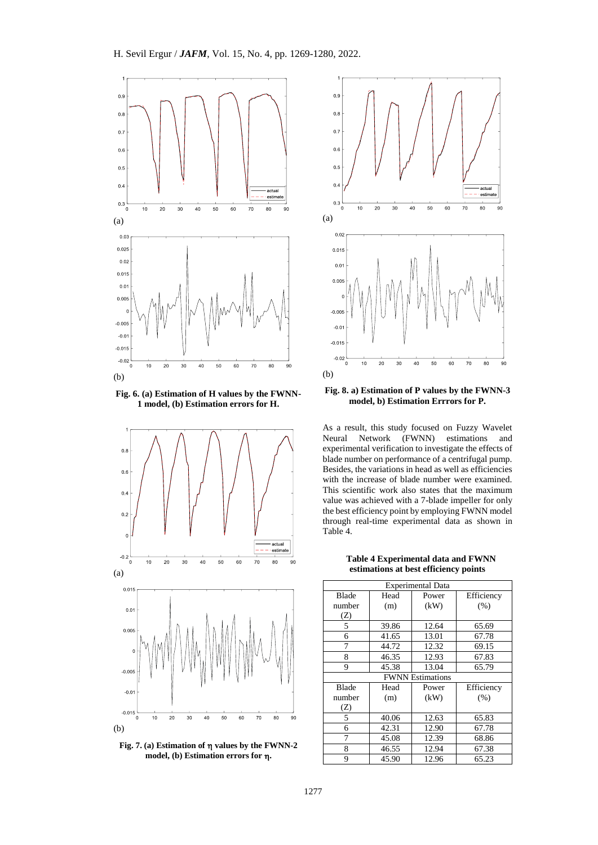

**Fig. 6. (a) Estimation of H values by the FWNN-1 model, (b) Estimation errors for H.**



**Fig. 7. (a) Estimation of values by the FWNN-2 model, (b) Estimation errors for .**



**Fig. 8. a) Estimation of P values by the FWNN-3 model, b) Estimation Errrors for P.**

As a result, this study focused on Fuzzy Wavelet Neural Network (FWNN) estimations and experimental verification to investigate the effects of blade number on performance of a centrifugal pump. Besides, the variations in head as well as efficiencies with the increase of blade number were examined. This scientific work also states that the maximum value was achieved with a 7-blade impeller for only the best efficiency point by employing FWNN model through real-time experimental data as shown in Table 4.

**Table 4 Experimental data and FWNN estimations at best efficiency points**

| <b>Experimental Data</b> |       |                         |            |  |  |  |
|--------------------------|-------|-------------------------|------------|--|--|--|
| <b>Blade</b>             | Head  | Power                   | Efficiency |  |  |  |
| number                   | (m)   | (kW)                    | (% )       |  |  |  |
| (Z)                      |       |                         |            |  |  |  |
| 5                        | 39.86 | 12.64                   | 65.69      |  |  |  |
| 6                        | 41.65 | 13.01                   | 67.78      |  |  |  |
| 7                        | 44.72 | 12.32                   | 69.15      |  |  |  |
| 8                        | 46.35 | 12.93                   | 67.83      |  |  |  |
| 9                        | 45.38 | 13.04                   | 65.79      |  |  |  |
|                          |       | <b>FWNN</b> Estimations |            |  |  |  |
| Blade                    | Head  | Power                   | Efficiency |  |  |  |
| number                   | (m)   | (kW)                    | (% )       |  |  |  |
| (Z)                      |       |                         |            |  |  |  |
| 5                        | 40.06 | 12.63                   | 65.83      |  |  |  |
| 6                        | 42.31 | 12.90                   | 67.78      |  |  |  |
| 7                        | 45.08 | 12.39                   | 68.86      |  |  |  |
| 8                        | 46.55 | 12.94                   | 67.38      |  |  |  |
| 9                        | 45.90 | 12.96                   | 65.23      |  |  |  |
|                          |       |                         |            |  |  |  |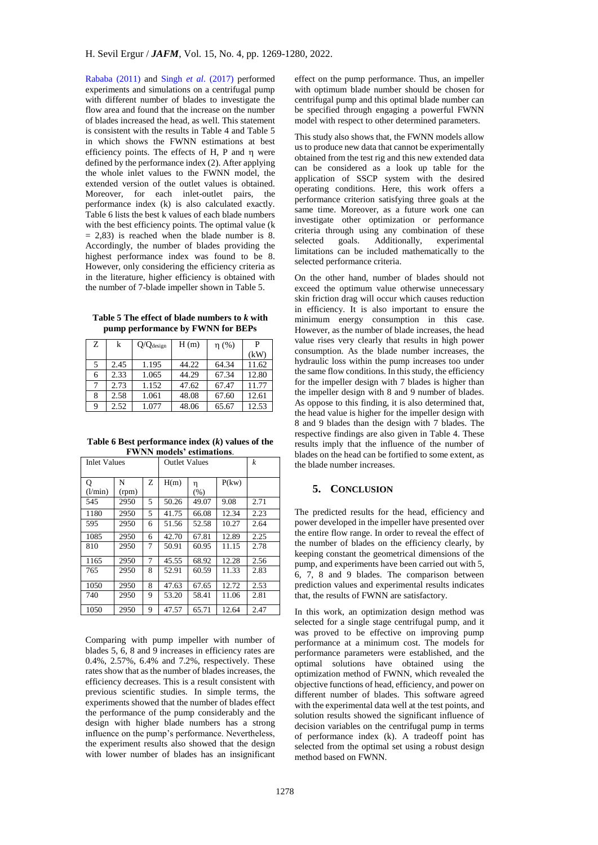[Rababa](#page-11-17) (2011) and Singh *et al*[. \(2017\)](#page-11-11) performed experiments and simulations on a centrifugal pump with different number of blades to investigate the flow area and found that the increase on the number of blades increased the head, as well. This statement is consistent with the results in Table 4 and Table 5 in which shows the FWNN estimations at best efficiency points. The effects of H, P and n were defined by the performance index (2). After applying the whole inlet values to the FWNN model, the extended version of the outlet values is obtained. Moreover, for each inlet-outlet pairs, the performance index (k) is also calculated exactly. Table 6 lists the best k values of each blade numbers with the best efficiency points. The optimal value (k  $= 2,83$ ) is reached when the blade number is 8. Accordingly, the number of blades providing the highest performance index was found to be 8. However, only considering the efficiency criteria as in the literature, higher efficiency is obtained with the number of 7-blade impeller shown in Table 5.

**Table 5 The effect of blade numbers to** *k* **with pump performance by FWNN for BEPs**

| Ζ | k    | Q/Q <sub>design</sub> | H(m)  | $\eta$ (%) | P     |
|---|------|-----------------------|-------|------------|-------|
|   |      |                       |       |            | (kW)  |
| 5 | 2.45 | 1.195                 | 44.22 | 64.34      | 11.62 |
| 6 | 2.33 | 1.065                 | 44.29 | 67.34      | 12.80 |
| 7 | 2.73 | 1.152                 | 47.62 | 67.47      | 11.77 |
| 8 | 2.58 | 1.061                 | 48.08 | 67.60      | 12.61 |
| 9 | 2.52 | 1.077                 | 48.06 | 65.67      | 12.53 |

**Table 6 Best performance index (***k***) values of the FWNN models' estimations**.

| Inlet Values |       |   | <b>Outlet Values</b> |       |       | k    |
|--------------|-------|---|----------------------|-------|-------|------|
| Q            | N     | Z | H(m)                 | η     | P(kw) |      |
| (l/min)      | (rpm) |   |                      | (% )  |       |      |
| 545          | 2950  | 5 | 50.26                | 49.07 | 9.08  | 2.71 |
| 1180         | 2950  | 5 | 41.75                | 66.08 | 12.34 | 2.23 |
| 595          | 2950  | 6 | 51.56                | 52.58 | 10.27 | 2.64 |
| 1085         | 2950  | 6 | 42.70                | 67.81 | 12.89 | 2.25 |
| 810          | 2950  | 7 | 50.91                | 60.95 | 11.15 | 2.78 |
| 1165         | 2950  | 7 | 45.55                | 68.92 | 12.28 | 2.56 |
| 765          | 2950  | 8 | 52.91                | 60.59 | 11.33 | 2.83 |
| 1050         | 2950  | 8 | 47.63                | 67.65 | 12.72 | 2.53 |
| 740          | 2950  | 9 | 53.20                | 58.41 | 11.06 | 2.81 |
| 1050         | 2950  | 9 | 47.57                | 65.71 | 12.64 | 2.47 |

Comparing with pump impeller with number of blades 5, 6, 8 and 9 increases in efficiency rates are 0.4%, 2.57%, 6.4% and 7.2%, respectively. These rates show that as the number of blades increases, the efficiency decreases. This is a result consistent with previous scientific studies. In simple terms, the experiments showed that the number of blades effect the performance of the pump considerably and the design with higher blade numbers has a strong influence on the pump's performance. Nevertheless, the experiment results also showed that the design with lower number of blades has an insignificant

effect on the pump performance. Thus, an impeller with optimum blade number should be chosen for centrifugal pump and this optimal blade number can be specified through engaging a powerful FWNN model with respect to other determined parameters.

This study also shows that, the FWNN models allow us to produce new data that cannot be experimentally obtained from the test rig and this new extended data can be considered as a look up table for the application of SSCP system with the desired operating conditions. Here, this work offers a performance criterion satisfying three goals at the same time. Moreover, as a future work one can investigate other optimization or performance criteria through using any combination of these<br>selected goals. Additionally, experimental selected goals. Additionally, experimental limitations can be included mathematically to the selected performance criteria.

On the other hand, number of blades should not exceed the optimum value otherwise unnecessary skin friction drag will occur which causes reduction in efficiency. It is also important to ensure the minimum energy consumption in this case. However, as the number of blade increases, the head value rises very clearly that results in high power consumption. As the blade number increases, the hydraulic loss within the pump increases too under the same flow conditions. In this study, the efficiency for the impeller design with 7 blades is higher than the impeller design with 8 and 9 number of blades. As oppose to this finding, it is also determined that, the head value is higher for the impeller design with 8 and 9 blades than the design with 7 blades. The respective findings are also given in Table 4. These results imply that the influence of the number of blades on the head can be fortified to some extent, as the blade number increases.

# **5. CONCLUSION**

The predicted results for the head, efficiency and power developed in the impeller have presented over the entire flow range. In order to reveal the effect of the number of blades on the efficiency clearly, by keeping constant the geometrical dimensions of the pump, and experiments have been carried out with 5, 6, 7, 8 and 9 blades. The comparison between prediction values and experimental results indicates that, the results of FWNN are satisfactory.

In this work, an optimization design method was selected for a single stage centrifugal pump, and it was proved to be effective on improving pump performance at a minimum cost. The models for performance parameters were established, and the optimal solutions have obtained using the optimization method of FWNN, which revealed the objective functions of head, efficiency, and power on different number of blades. This software agreed with the experimental data well at the test points, and solution results showed the significant influence of decision variables on the centrifugal pump in terms of performance index (k). A tradeoff point has selected from the optimal set using a robust design method based on FWNN.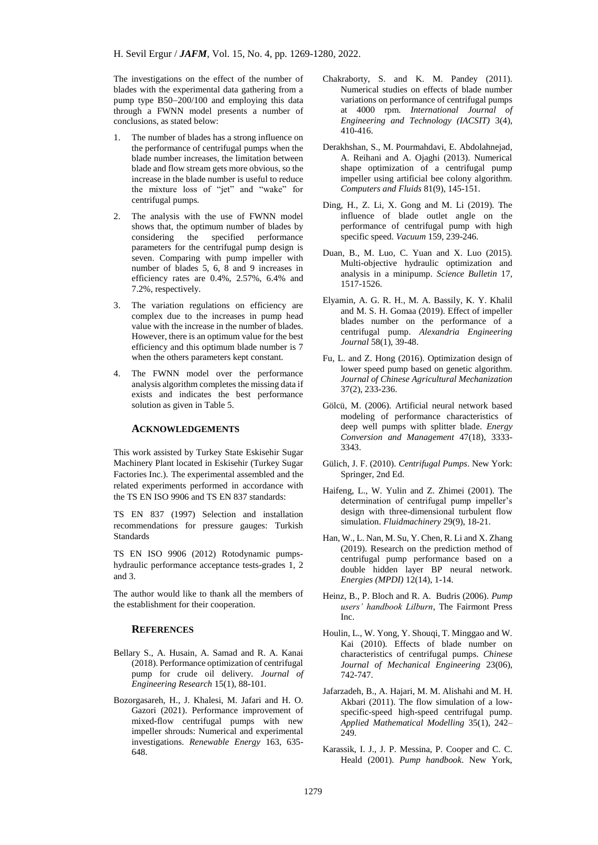The investigations on the effect of the number of blades with the experimental data gathering from a pump type  $B50-200/100$  and employing this data through a FWNN model presents a number of conclusions, as stated below:

- The number of blades has a strong influence on the performance of centrifugal pumps when the blade number increases, the limitation between blade and flow stream gets more obvious, so the increase in the blade number is useful to reduce the mixture loss of "jet" and "wake" for centrifugal pumps.
- 2. The analysis with the use of FWNN model shows that, the optimum number of blades by considering the specified performance parameters for the centrifugal pump design is seven. Comparing with pump impeller with number of blades 5, 6, 8 and 9 increases in efficiency rates are 0.4%, 2.57%, 6.4% and 7.2%, respectively.
- 3. The variation regulations on efficiency are complex due to the increases in pump head value with the increase in the number of blades. However, there is an optimum value for the best efficiency and this optimum blade number is 7 when the others parameters kept constant.
- 4. The FWNN model over the performance analysis algorithm completes the missing data if exists and indicates the best performance solution as given in Table 5.

#### **ACKNOWLEDGEMENTS**

This work assisted by Turkey State Eskisehir Sugar Machinery Plant located in Eskisehir (Turkey Sugar Factories Inc.). The experimental assembled and the related experiments performed in accordance with the TS EN ISO 9906 and TS EN 837 standards:

TS EN 837 (1997) Selection and installation recommendations for pressure gauges: Turkish Standards

TS EN ISO 9906 (2012) Rotodynamic pumpshydraulic performance acceptance tests-grades 1, 2 and 3.

The author would like to thank all the members of the establishment for their cooperation.

#### **REFERENCES**

- <span id="page-10-1"></span>Bellary S., A. Husain, A. Samad and R. A. Kanai (2018). Performance optimization of centrifugal pump for crude oil delivery. *Journal of Engineering Research* 15(1), 88-101.
- Bozorgasareh, H., J. Khalesi, M. Jafari and H. O. Gazori (2021). Performance improvement of mixed-flow centrifugal pumps with new impeller shrouds: Numerical and experimental investigations. *Renewable Energy* 163, 635- 648.
- <span id="page-10-10"></span>Chakraborty, S. and K. M. Pandey (2011). Numerical studies on effects of blade number variations on performance of centrifugal pumps at 4000 rpm. *International Journal of Engineering and Technology (IACSIT)* 3(4),  $410 - 416$ .
- <span id="page-10-6"></span>Derakhshan, S., M. Pourmahdavi, E. Abdolahnejad, A. Reihani and A. Ojaghi (2013). Numerical shape optimization of a centrifugal pump impeller using artificial bee colony algorithm. *Computers and Fluids* 81(9), 145-151.
- <span id="page-10-2"></span>Ding, H., Z. Li, X. Gong and M. Li (2019). The influence of blade outlet angle on the performance of centrifugal pump with high specific speed. *Vacuum* 159, 239-246.
- <span id="page-10-7"></span>Duan, B., M. Luo, C. Yuan and X. Luo (2015). Multi-objective hydraulic optimization and analysis in a minipump. *Science Bulletin* 17, 1517-1526.
- <span id="page-10-3"></span>Elyamin, A. G. R. H., M. A. Bassily, K. Y. Khalil and M. S. H. Gomaa (2019). Effect of impeller blades number on the performance of a centrifugal pump. *Alexandria Engineering Journal* 58(1), 39-48.
- <span id="page-10-4"></span>Fu, L. and Z. Hong (2016). Optimization design of lower speed pump based on genetic algorithm. *Journal of Chinese Agricultural Mechanization* 37(2), 233-236.
- <span id="page-10-13"></span>Gölcü, M. (2006). Artificial neural network based modeling of performance characteristics of deep well pumps with splitter blade. *Energy Conversion and Management* 47(18), 3333- 3343.
- <span id="page-10-0"></span>Gülich, J. F. (2010). *Centrifugal Pumps*. New York: Springer, 2nd Ed.
- <span id="page-10-5"></span>Haifeng, L., W. Yulin and Z. Zhimei (2001). The determination of centrifugal pump impeller's design with three-dimensional turbulent flow simulation. *Fluidmachinery* 29(9), 18-21.
- <span id="page-10-14"></span>Han, W., L. Nan, M. Su, Y. Chen, R. Li and X. Zhang (2019). Research on the prediction method of centrifugal pump performance based on a double hidden layer BP neural network. *Energies (MPDI)* 12(14), 1-14.
- <span id="page-10-8"></span>Heinz, B., P. Bloch and R. A. Budris (2006). *Pump users' handbook Lilburn*, The Fairmont Press Inc.
- <span id="page-10-9"></span>Houlin, L., W. Yong, Y. Shouqi, T. Minggao and W. Kai (2010). Effects of blade number on characteristics of centrifugal pumps. *Chinese Journal of Mechanical Engineering* 23(06), 742-747.
- <span id="page-10-11"></span>Jafarzadeh, B., A. Hajari, M. M. Alishahi and M. H. Akbari (2011). The flow simulation of a lowspecific-speed high-speed centrifugal pump. *Applied Mathematical Modelling* 35(1), 242– 249.
- <span id="page-10-12"></span>Karassik, I. J., J. P. Messina, P. Cooper and C. C. Heald (2001). *Pump handbook*. New York,